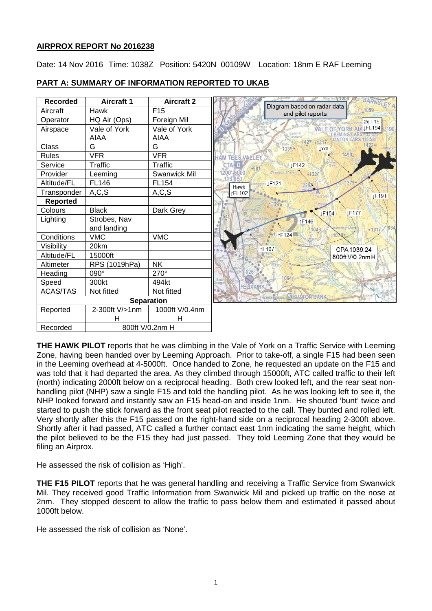## **AIRPROX REPORT No 2016238**

Date: 14 Nov 2016 Time: 1038Z Position: 5420N 00109W Location: 18nm E RAF Leeming

| <b>Recorded</b>   | <b>Aircraft 1</b> | <b>Aircraft 2</b> |                        | 1004<br><b>BARNSLEYA</b>                                 |
|-------------------|-------------------|-------------------|------------------------|----------------------------------------------------------|
| Aircraft          | Hawk              | F <sub>15</sub>   |                        | Diagram based on radar data<br>1099<br>and pilot reports |
| Operator          | HQ Air (Ops)      | Foreign Mil       |                        | 2xF15                                                    |
| Airspace          | Vale of York      | Vale of York      |                        | JFL194<br>190<br><b>ZALE OE YOR</b>                      |
|                   | <b>AIAA</b>       | <b>AIAA</b>       |                        | 1427<br>•1317                                            |
| Class             | G                 | G                 |                        | 1339+<br><b>LXXX</b>                                     |
| <b>Rules</b>      | <b>VFR</b>        | <b>VFR</b>        | <b>HAM TEES VALLEY</b> | 1490                                                     |
| Service           | <b>Traffic</b>    | Traffic           | $-981$                 | LF142                                                    |
| Provider          | Leeming           | Swanwick Mil      | 1200<br>$-6000$        | Whorlton Moore<br>$-1326$                                |
| Altitude/FL       | <b>FL146</b>      | FL154             | <b>Hawk</b>            | 1379<br><b>JF121</b><br>2298                             |
| Transponder       | A, C, S           | A, C, S           | <b>↑FL102</b>          | LF191                                                    |
| <b>Reported</b>   |                   |                   |                        | 1309                                                     |
| Colours           | <b>Black</b>      | Dark Grey         |                        | <b>IF177</b><br>IF154                                    |
| Lighting          | Strobes, Nav      |                   |                        | ↑F146                                                    |
|                   | and landing       |                   |                        | 834<br><b>almsley Mod</b><br>1048<br>$-1017$             |
| Conditions        | <b>VMC</b>        | <b>VMC</b>        |                        | 111F124                                                  |
| Visibility        | 20km              |                   |                        | ↑F107<br>CPA 1039:24                                     |
| Altitude/FL       | 15000ft           |                   |                        | 800ft V/0.2nm H                                          |
| Altimeter         | RPS (1019hPa)     | <b>NK</b>         |                        |                                                          |
| Heading           | $090^\circ$       | 270°              | 226                    | 1064                                                     |
| Speed             | 300kt             | 494kt             | FELIXKIRK              |                                                          |
| <b>ACAS/TAS</b>   | Not fitted        | Not fitted        |                        |                                                          |
| <b>Separation</b> |                   |                   |                        | <b>GELLETON BANK</b>                                     |
| Reported          | 2-300ft V/>1nm    | 1000ft V/0.4nm    |                        |                                                          |
|                   | н                 | н                 |                        |                                                          |
| Recorded          | 800ft V/0.2nm H   |                   |                        |                                                          |

## **PART A: SUMMARY OF INFORMATION REPORTED TO UKAB**

**THE HAWK PILOT** reports that he was climbing in the Vale of York on a Traffic Service with Leeming Zone, having been handed over by Leeming Approach. Prior to take-off, a single F15 had been seen in the Leeming overhead at 4-5000ft. Once handed to Zone, he requested an update on the F15 and was told that it had departed the area. As they climbed through 15000ft, ATC called traffic to their left (north) indicating 2000ft below on a reciprocal heading. Both crew looked left, and the rear seat nonhandling pilot (NHP) saw a single F15 and told the handling pilot. As he was looking left to see it, the NHP looked forward and instantly saw an F15 head-on and inside 1nm. He shouted 'bunt' twice and started to push the stick forward as the front seat pilot reacted to the call. They bunted and rolled left. Very shortly after this the F15 passed on the right-hand side on a reciprocal heading 2-300ft above. Shortly after it had passed, ATC called a further contact east 1nm indicating the same height, which the pilot believed to be the F15 they had just passed. They told Leeming Zone that they would be filing an Airprox.

He assessed the risk of collision as 'High'.

**THE F15 PILOT** reports that he was general handling and receiving a Traffic Service from Swanwick Mil. They received good Traffic Information from Swanwick Mil and picked up traffic on the nose at 2nm. They stopped descent to allow the traffic to pass below them and estimated it passed about 1000ft below.

He assessed the risk of collision as 'None'.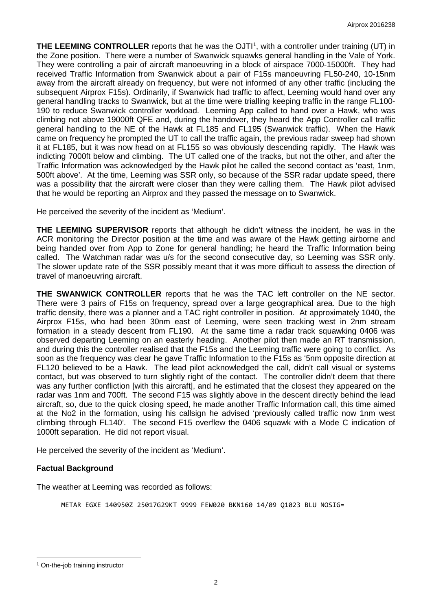**THE LEEMING CONTROLLER** reports that he was the OJTI<sup>[1](#page-1-0)</sup>, with a controller under training (UT) in the Zone position. There were a number of Swanwick squawks general handling in the Vale of York. They were controlling a pair of aircraft manoeuvring in a block of airspace 7000-15000ft. They had received Traffic Information from Swanwick about a pair of F15s manoeuvring FL50-240, 10-15nm away from the aircraft already on frequency, but were not informed of any other traffic (including the subsequent Airprox F15s). Ordinarily, if Swanwick had traffic to affect, Leeming would hand over any general handling tracks to Swanwick, but at the time were trialling keeping traffic in the range FL100- 190 to reduce Swanwick controller workload. Leeming App called to hand over a Hawk, who was climbing not above 19000ft QFE and, during the handover, they heard the App Controller call traffic general handling to the NE of the Hawk at FL185 and FL195 (Swanwick traffic). When the Hawk came on frequency he prompted the UT to call the traffic again, the previous radar sweep had shown it at FL185, but it was now head on at FL155 so was obviously descending rapidly. The Hawk was indicting 7000ft below and climbing. The UT called one of the tracks, but not the other, and after the Traffic Information was acknowledged by the Hawk pilot he called the second contact as 'east, 1nm, 500ft above'. At the time, Leeming was SSR only, so because of the SSR radar update speed, there was a possibility that the aircraft were closer than they were calling them. The Hawk pilot advised that he would be reporting an Airprox and they passed the message on to Swanwick.

He perceived the severity of the incident as 'Medium'.

**THE LEEMING SUPERVISOR** reports that although he didn't witness the incident, he was in the ACR monitoring the Director position at the time and was aware of the Hawk getting airborne and being handed over from App to Zone for general handling; he heard the Traffic Information being called. The Watchman radar was u/s for the second consecutive day, so Leeming was SSR only. The slower update rate of the SSR possibly meant that it was more difficult to assess the direction of travel of manoeuvring aircraft.

**THE SWANWICK CONTROLLER** reports that he was the TAC left controller on the NE sector. There were 3 pairs of F15s on frequency, spread over a large geographical area. Due to the high traffic density, there was a planner and a TAC right controller in position. At approximately 1040, the Airprox F15s, who had been 30nm east of Leeming, were seen tracking west in 2nm stream formation in a steady descent from FL190. At the same time a radar track squawking 0406 was observed departing Leeming on an easterly heading. Another pilot then made an RT transmission, and during this the controller realised that the F15s and the Leeming traffic were going to conflict. As soon as the frequency was clear he gave Traffic Information to the F15s as '5nm opposite direction at FL120 believed to be a Hawk. The lead pilot acknowledged the call, didn't call visual or systems contact, but was observed to turn slightly right of the contact. The controller didn't deem that there was any further confliction [with this aircraft], and he estimated that the closest they appeared on the radar was 1nm and 700ft. The second F15 was slightly above in the descent directly behind the lead aircraft, so, due to the quick closing speed, he made another Traffic Information call, this time aimed at the No2 in the formation, using his callsign he advised 'previously called traffic now 1nm west climbing through FL140'. The second F15 overflew the 0406 squawk with a Mode C indication of 1000ft separation. He did not report visual.

He perceived the severity of the incident as 'Medium'.

## **Factual Background**

The weather at Leeming was recorded as follows:

METAR EGXE 140950Z 25017G29KT 9999 FEW020 BKN160 14/09 Q1023 BLU NOSIG=

 $\overline{\phantom{a}}$ 

<span id="page-1-0"></span><sup>1</sup> On-the-job training instructor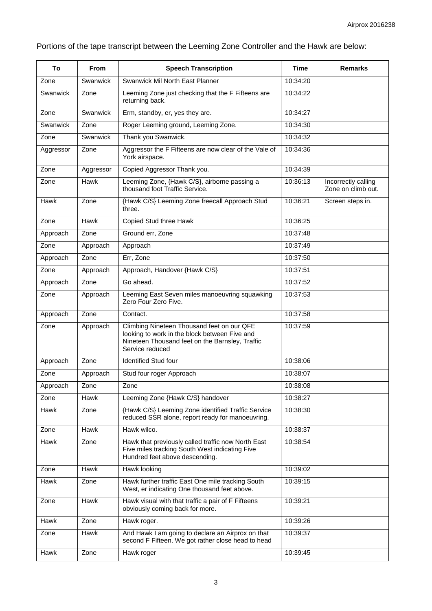Portions of the tape transcript between the Leeming Zone Controller and the Hawk are below:

| To        | <b>From</b> | <b>Speech Transcription</b>                                                                                                                                       | <b>Time</b> | <b>Remarks</b>                            |
|-----------|-------------|-------------------------------------------------------------------------------------------------------------------------------------------------------------------|-------------|-------------------------------------------|
| Zone      | Swanwick    | Swanwick Mil North East Planner                                                                                                                                   | 10:34:20    |                                           |
| Swanwick  | Zone        | Leeming Zone just checking that the F Fifteens are<br>returning back.                                                                                             | 10:34:22    |                                           |
| Zone      | Swanwick    | Erm, standby, er, yes they are.                                                                                                                                   | 10:34:27    |                                           |
| Swanwick  | Zone        | Roger Leeming ground, Leeming Zone.                                                                                                                               | 10:34:30    |                                           |
| Zone      | Swanwick    | Thank you Swanwick.                                                                                                                                               | 10:34:32    |                                           |
| Aggressor | Zone        | Aggressor the F Fifteens are now clear of the Vale of<br>York airspace.                                                                                           | 10:34:36    |                                           |
| Zone      | Aggressor   | Copied Aggressor Thank you.                                                                                                                                       | 10:34:39    |                                           |
| Zone      | Hawk        | Leeming Zone, {Hawk C/S}, airborne passing a<br>thousand foot Traffic Service.                                                                                    | 10:36:13    | Incorrectly calling<br>Zone on climb out. |
| Hawk      | Zone        | {Hawk C/S} Leeming Zone freecall Approach Stud<br>three.                                                                                                          | 10:36:21    | Screen steps in.                          |
| Zone      | Hawk        | Copied Stud three Hawk                                                                                                                                            | 10:36:25    |                                           |
| Approach  | Zone        | Ground err, Zone                                                                                                                                                  | 10:37:48    |                                           |
| Zone      | Approach    | Approach                                                                                                                                                          | 10:37:49    |                                           |
| Approach  | Zone        | Err, Zone                                                                                                                                                         | 10:37:50    |                                           |
| Zone      | Approach    | Approach, Handover {Hawk C/S}                                                                                                                                     | 10:37:51    |                                           |
| Approach  | Zone        | Go ahead.                                                                                                                                                         | 10:37:52    |                                           |
| Zone      | Approach    | Leeming East Seven miles manoeuvring squawking<br>Zero Four Zero Five.                                                                                            | 10:37:53    |                                           |
| Approach  | Zone        | Contact.                                                                                                                                                          | 10:37:58    |                                           |
| Zone      | Approach    | Climbing Nineteen Thousand feet on our QFE<br>looking to work in the block between Five and<br>Nineteen Thousand feet on the Barnsley, Traffic<br>Service reduced | 10:37:59    |                                           |
| Approach  | Zone        | <b>Identified Stud four</b>                                                                                                                                       | 10:38:06    |                                           |
| Zone      | Approach    | Stud four roger Approach                                                                                                                                          | 10:38:07    |                                           |
| Approach  | Zone        | Zone                                                                                                                                                              | 10:38:08    |                                           |
| Zone      | Hawk        | Leeming Zone {Hawk C/S} handover                                                                                                                                  | 10:38:27    |                                           |
| Hawk      | Zone        | {Hawk C/S} Leeming Zone identified Traffic Service<br>reduced SSR alone, report ready for manoeuvring.                                                            | 10:38:30    |                                           |
| Zone      | Hawk        | Hawk wilco.                                                                                                                                                       | 10:38:37    |                                           |
| Hawk      | Zone        | Hawk that previously called traffic now North East<br>Five miles tracking South West indicating Five<br>Hundred feet above descending.                            | 10:38:54    |                                           |
| Zone      | Hawk        | Hawk looking                                                                                                                                                      | 10:39:02    |                                           |
| Hawk      | Zone        | Hawk further traffic East One mile tracking South<br>West, er indicating One thousand feet above.                                                                 | 10:39:15    |                                           |
| Zone      | Hawk        | Hawk visual with that traffic a pair of F Fifteens<br>obviously coming back for more.                                                                             | 10:39:21    |                                           |
| Hawk      | Zone        | Hawk roger.                                                                                                                                                       | 10:39:26    |                                           |
| Zone      | Hawk        | And Hawk I am going to declare an Airprox on that<br>second F Fifteen. We got rather close head to head                                                           | 10:39:37    |                                           |
| Hawk      | Zone        | Hawk roger                                                                                                                                                        | 10:39:45    |                                           |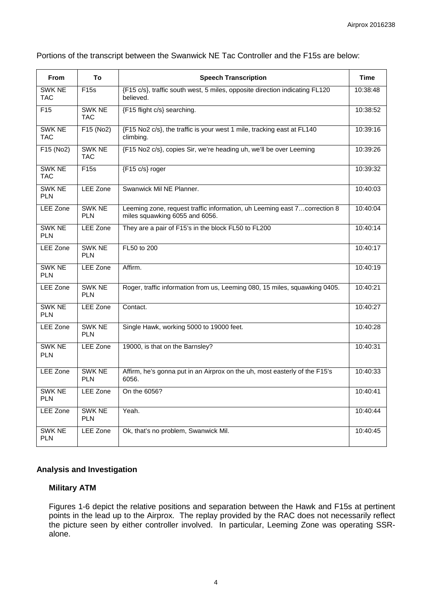| Portions of the transcript between the Swanwick NE Tac Controller and the F15s are below: |  |
|-------------------------------------------------------------------------------------------|--|
|-------------------------------------------------------------------------------------------|--|

| <b>From</b>          | To                          | <b>Speech Transcription</b>                                                                                 | <b>Time</b> |
|----------------------|-----------------------------|-------------------------------------------------------------------------------------------------------------|-------------|
| SWK NE<br><b>TAC</b> | F15s                        | {F15 c/s}, traffic south west, 5 miles, opposite direction indicating FL120<br>believed.                    | 10:38:48    |
| F <sub>15</sub>      | SWK NE<br><b>TAC</b>        | {F15 flight c/s} searching.                                                                                 | 10:38:52    |
| SWK NE<br><b>TAC</b> | F15(No2)                    | {F15 No2 c/s}, the traffic is your west 1 mile, tracking east at FL140<br>climbing.                         | 10:39:16    |
| F15 (No2)            | <b>SWK NE</b><br>TAC        | {F15 No2 c/s}, copies Sir, we're heading uh, we'll be over Leeming                                          | 10:39:26    |
| SWK NE<br>TAC        | <b>F15s</b>                 | {F15 c/s} roger                                                                                             | 10:39:32    |
| SWK NE<br><b>PLN</b> | LEE Zone                    | Swanwick Mil NE Planner.                                                                                    | 10:40:03    |
| LEE Zone             | <b>SWK NE</b><br><b>PLN</b> | Leeming zone, request traffic information, uh Leeming east 7 correction 8<br>miles squawking 6055 and 6056. | 10:40:04    |
| SWK NE<br><b>PLN</b> | LEE Zone                    | They are a pair of F15's in the block FL50 to FL200                                                         | 10:40:14    |
| LEE Zone             | SWK NE<br><b>PLN</b>        | FL50 to 200                                                                                                 | 10:40:17    |
| SWK NE<br><b>PLN</b> | LEE Zone                    | Affirm.                                                                                                     | 10:40:19    |
| LEE Zone             | SWK NE<br><b>PLN</b>        | Roger, traffic information from us, Leeming 080, 15 miles, squawking 0405.                                  | 10:40:21    |
| SWK NE<br><b>PLN</b> | LEE Zone                    | Contact.                                                                                                    | 10:40:27    |
| LEE Zone             | SWK NE<br><b>PLN</b>        | Single Hawk, working 5000 to 19000 feet.                                                                    | 10:40:28    |
| SWK NE<br><b>PLN</b> | LEE Zone                    | 19000, is that on the Barnsley?                                                                             | 10:40:31    |
| LEE Zone             | SWK NE<br><b>PLN</b>        | Affirm, he's gonna put in an Airprox on the uh, most easterly of the F15's<br>6056.                         | 10:40:33    |
| SWK NE<br><b>PLN</b> | LEE Zone                    | On the 6056?                                                                                                | 10:40:41    |
| LEE Zone             | SWK NE<br><b>PLN</b>        | Yeah.                                                                                                       | 10:40:44    |
| SWK NE<br><b>PLN</b> | LEE Zone                    | Ok, that's no problem, Swanwick Mil.                                                                        | 10:40:45    |

# **Analysis and Investigation**

## **Military ATM**

Figures 1-6 depict the relative positions and separation between the Hawk and F15s at pertinent points in the lead up to the Airprox. The replay provided by the RAC does not necessarily reflect the picture seen by either controller involved. In particular, Leeming Zone was operating SSRalone.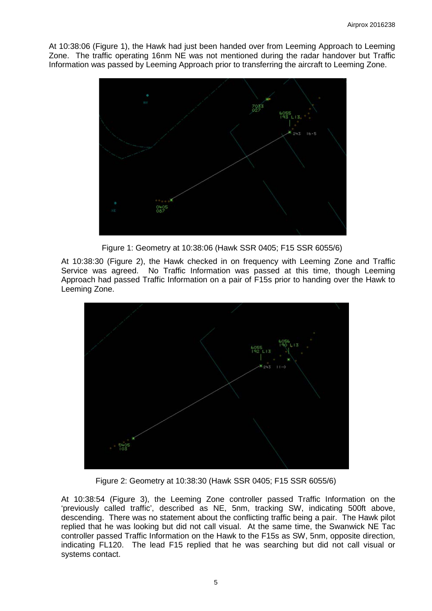At 10:38:06 (Figure 1), the Hawk had just been handed over from Leeming Approach to Leeming Zone. The traffic operating 16nm NE was not mentioned during the radar handover but Traffic Information was passed by Leeming Approach prior to transferring the aircraft to Leeming Zone.



Figure 1: Geometry at 10:38:06 (Hawk SSR 0405; F15 SSR 6055/6)

At 10:38:30 (Figure 2), the Hawk checked in on frequency with Leeming Zone and Traffic Service was agreed. No Traffic Information was passed at this time, though Leeming Approach had passed Traffic Information on a pair of F15s prior to handing over the Hawk to Leeming Zone.



Figure 2: Geometry at 10:38:30 (Hawk SSR 0405; F15 SSR 6055/6)

At 10:38:54 (Figure 3), the Leeming Zone controller passed Traffic Information on the 'previously called traffic', described as NE, 5nm, tracking SW, indicating 500ft above, descending. There was no statement about the conflicting traffic being a pair. The Hawk pilot replied that he was looking but did not call visual. At the same time, the Swanwick NE Tac controller passed Traffic Information on the Hawk to the F15s as SW, 5nm, opposite direction, indicating FL120. The lead F15 replied that he was searching but did not call visual or systems contact.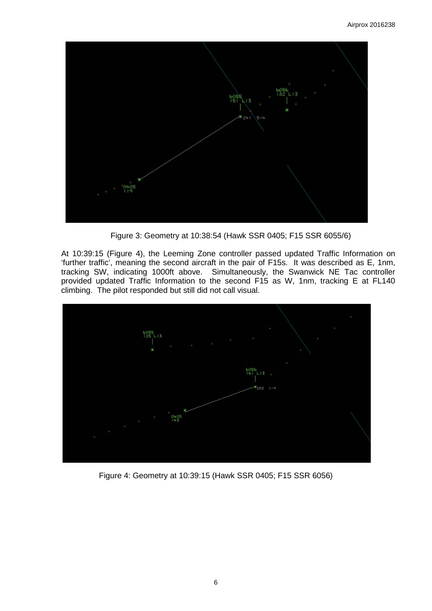

Figure 3: Geometry at 10:38:54 (Hawk SSR 0405; F15 SSR 6055/6)

At 10:39:15 (Figure 4), the Leeming Zone controller passed updated Traffic Information on 'further traffic', meaning the second aircraft in the pair of F15s. It was described as E, 1nm, tracking SW, indicating 1000ft above. Simultaneously, the Swanwick NE Tac controller provided updated Traffic Information to the second F15 as W, 1nm, tracking E at FL140 climbing. The pilot responded but still did not call visual.



Figure 4: Geometry at 10:39:15 (Hawk SSR 0405; F15 SSR 6056)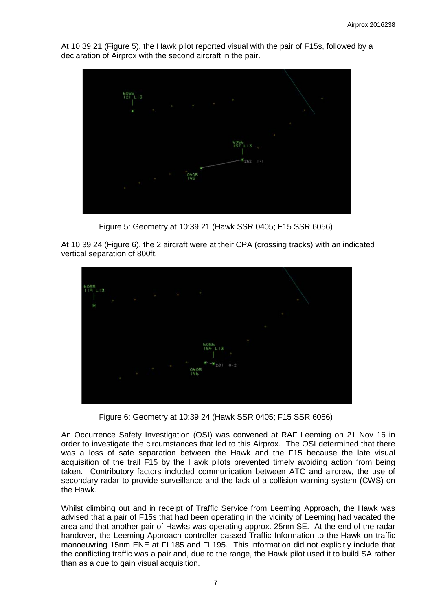At 10:39:21 (Figure 5), the Hawk pilot reported visual with the pair of F15s, followed by a declaration of Airprox with the second aircraft in the pair.



Figure 5: Geometry at 10:39:21 (Hawk SSR 0405; F15 SSR 6056)

At 10:39:24 (Figure 6), the 2 aircraft were at their CPA (crossing tracks) with an indicated vertical separation of 800ft.



Figure 6: Geometry at 10:39:24 (Hawk SSR 0405; F15 SSR 6056)

An Occurrence Safety Investigation (OSI) was convened at RAF Leeming on 21 Nov 16 in order to investigate the circumstances that led to this Airprox. The OSI determined that there was a loss of safe separation between the Hawk and the F15 because the late visual acquisition of the trail F15 by the Hawk pilots prevented timely avoiding action from being taken. Contributory factors included communication between ATC and aircrew, the use of secondary radar to provide surveillance and the lack of a collision warning system (CWS) on the Hawk.

Whilst climbing out and in receipt of Traffic Service from Leeming Approach, the Hawk was advised that a pair of F15s that had been operating in the vicinity of Leeming had vacated the area and that another pair of Hawks was operating approx. 25nm SE. At the end of the radar handover, the Leeming Approach controller passed Traffic Information to the Hawk on traffic manoeuvring 15nm ENE at FL185 and FL195. This information did not explicitly include that the conflicting traffic was a pair and, due to the range, the Hawk pilot used it to build SA rather than as a cue to gain visual acquisition.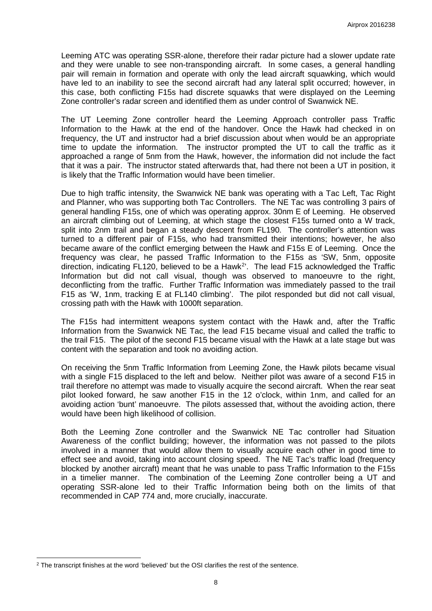Leeming ATC was operating SSR-alone, therefore their radar picture had a slower update rate and they were unable to see non-transponding aircraft. In some cases, a general handling pair will remain in formation and operate with only the lead aircraft squawking, which would have led to an inability to see the second aircraft had any lateral split occurred; however, in this case, both conflicting F15s had discrete squawks that were displayed on the Leeming Zone controller's radar screen and identified them as under control of Swanwick NE.

The UT Leeming Zone controller heard the Leeming Approach controller pass Traffic Information to the Hawk at the end of the handover. Once the Hawk had checked in on frequency, the UT and instructor had a brief discussion about when would be an appropriate time to update the information. The instructor prompted the UT to call the traffic as it approached a range of 5nm from the Hawk, however, the information did not include the fact that it was a pair. The instructor stated afterwards that, had there not been a UT in position, it is likely that the Traffic Information would have been timelier.

Due to high traffic intensity, the Swanwick NE bank was operating with a Tac Left, Tac Right and Planner, who was supporting both Tac Controllers. The NE Tac was controlling 3 pairs of general handling F15s, one of which was operating approx. 30nm E of Leeming. He observed an aircraft climbing out of Leeming, at which stage the closest F15s turned onto a W track, split into 2nm trail and began a steady descent from FL190. The controller's attention was turned to a different pair of F15s, who had transmitted their intentions; however, he also became aware of the conflict emerging between the Hawk and F15s E of Leeming. Once the frequency was clear, he passed Traffic Information to the F15s as 'SW, 5nm, opposite direction, indicating FL1[2](#page-7-0)0, believed to be a Hawk<sup>2</sup>'. The lead F15 acknowledged the Traffic Information but did not call visual, though was observed to manoeuvre to the right, deconflicting from the traffic. Further Traffic Information was immediately passed to the trail F15 as 'W, 1nm, tracking E at FL140 climbing'. The pilot responded but did not call visual, crossing path with the Hawk with 1000ft separation.

The F15s had intermittent weapons system contact with the Hawk and, after the Traffic Information from the Swanwick NE Tac, the lead F15 became visual and called the traffic to the trail F15. The pilot of the second F15 became visual with the Hawk at a late stage but was content with the separation and took no avoiding action.

On receiving the 5nm Traffic Information from Leeming Zone, the Hawk pilots became visual with a single F15 displaced to the left and below. Neither pilot was aware of a second F15 in trail therefore no attempt was made to visually acquire the second aircraft. When the rear seat pilot looked forward, he saw another F15 in the 12 o'clock, within 1nm, and called for an avoiding action 'bunt' manoeuvre. The pilots assessed that, without the avoiding action, there would have been high likelihood of collision.

Both the Leeming Zone controller and the Swanwick NE Tac controller had Situation Awareness of the conflict building; however, the information was not passed to the pilots involved in a manner that would allow them to visually acquire each other in good time to effect see and avoid, taking into account closing speed. The NE Tac's traffic load (frequency blocked by another aircraft) meant that he was unable to pass Traffic Information to the F15s in a timelier manner. The combination of the Leeming Zone controller being a UT and operating SSR-alone led to their Traffic Information being both on the limits of that recommended in CAP 774 and, more crucially, inaccurate.

 $\overline{\phantom{a}}$ 

<span id="page-7-0"></span><sup>&</sup>lt;sup>2</sup> The transcript finishes at the word 'believed' but the OSI clarifies the rest of the sentence.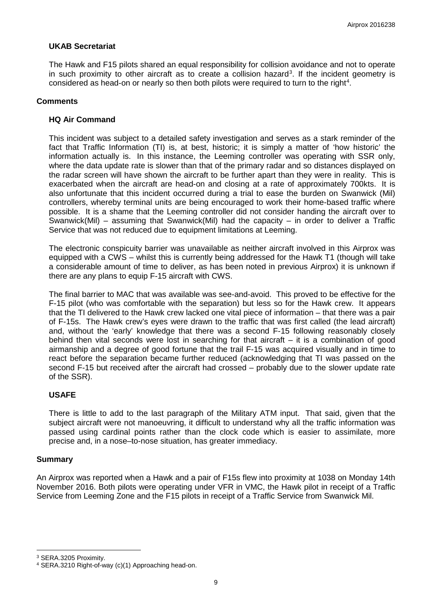#### **UKAB Secretariat**

The Hawk and F15 pilots shared an equal responsibility for collision avoidance and not to operate in such proximity to other aircraft as to create a collision hazard<sup>[3](#page-8-0)</sup>. If the incident geometry is considered as head-on or nearly so then both pilots were required to turn to the right<sup>[4](#page-8-1)</sup>.

#### **Comments**

#### **HQ Air Command**

This incident was subject to a detailed safety investigation and serves as a stark reminder of the fact that Traffic Information (TI) is, at best, historic; it is simply a matter of 'how historic' the information actually is. In this instance, the Leeming controller was operating with SSR only, where the data update rate is slower than that of the primary radar and so distances displayed on the radar screen will have shown the aircraft to be further apart than they were in reality. This is exacerbated when the aircraft are head-on and closing at a rate of approximately 700kts. It is also unfortunate that this incident occurred during a trial to ease the burden on Swanwick (Mil) controllers, whereby terminal units are being encouraged to work their home-based traffic where possible. It is a shame that the Leeming controller did not consider handing the aircraft over to Swanwick(Mil) – assuming that Swanwick(Mil) had the capacity – in order to deliver a Traffic Service that was not reduced due to equipment limitations at Leeming.

The electronic conspicuity barrier was unavailable as neither aircraft involved in this Airprox was equipped with a CWS – whilst this is currently being addressed for the Hawk T1 (though will take a considerable amount of time to deliver, as has been noted in previous Airprox) it is unknown if there are any plans to equip F-15 aircraft with CWS.

The final barrier to MAC that was available was see-and-avoid. This proved to be effective for the F-15 pilot (who was comfortable with the separation) but less so for the Hawk crew. It appears that the TI delivered to the Hawk crew lacked one vital piece of information – that there was a pair of F-15s. The Hawk crew's eyes were drawn to the traffic that was first called (the lead aircraft) and, without the 'early' knowledge that there was a second F-15 following reasonably closely behind then vital seconds were lost in searching for that aircraft – it is a combination of good airmanship and a degree of good fortune that the trail F-15 was acquired visually and in time to react before the separation became further reduced (acknowledging that TI was passed on the second F-15 but received after the aircraft had crossed – probably due to the slower update rate of the SSR).

#### **USAFE**

There is little to add to the last paragraph of the Military ATM input. That said, given that the subject aircraft were not manoeuvring, it difficult to understand why all the traffic information was passed using cardinal points rather than the clock code which is easier to assimilate, more precise and, in a nose–to-nose situation, has greater immediacy.

#### **Summary**

l

An Airprox was reported when a Hawk and a pair of F15s flew into proximity at 1038 on Monday 14th November 2016. Both pilots were operating under VFR in VMC, the Hawk pilot in receipt of a Traffic Service from Leeming Zone and the F15 pilots in receipt of a Traffic Service from Swanwick Mil.

<span id="page-8-0"></span><sup>3</sup> SERA.3205 Proximity.

<span id="page-8-1"></span><sup>4</sup> SERA.3210 Right-of-way (c)(1) Approaching head-on.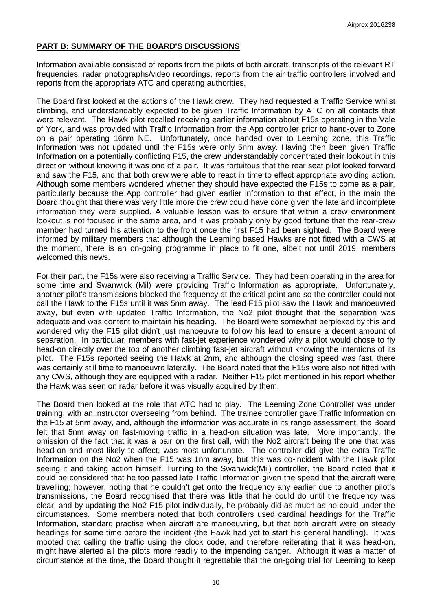## **PART B: SUMMARY OF THE BOARD'S DISCUSSIONS**

Information available consisted of reports from the pilots of both aircraft, transcripts of the relevant RT frequencies, radar photographs/video recordings, reports from the air traffic controllers involved and reports from the appropriate ATC and operating authorities.

The Board first looked at the actions of the Hawk crew. They had requested a Traffic Service whilst climbing, and understandably expected to be given Traffic Information by ATC on all contacts that were relevant. The Hawk pilot recalled receiving earlier information about F15s operating in the Vale of York, and was provided with Traffic Information from the App controller prior to hand-over to Zone on a pair operating 16nm NE. Unfortunately, once handed over to Leeming zone, this Traffic Information was not updated until the F15s were only 5nm away. Having then been given Traffic Information on a potentially conflicting F15, the crew understandably concentrated their lookout in this direction without knowing it was one of a pair. It was fortuitous that the rear seat pilot looked forward and saw the F15, and that both crew were able to react in time to effect appropriate avoiding action. Although some members wondered whether they should have expected the F15s to come as a pair, particularly because the App controller had given earlier information to that effect, in the main the Board thought that there was very little more the crew could have done given the late and incomplete information they were supplied. A valuable lesson was to ensure that within a crew environment lookout is not focused in the same area, and it was probably only by good fortune that the rear-crew member had turned his attention to the front once the first F15 had been sighted. The Board were informed by military members that although the Leeming based Hawks are not fitted with a CWS at the moment, there is an on-going programme in place to fit one, albeit not until 2019; members welcomed this news.

For their part, the F15s were also receiving a Traffic Service. They had been operating in the area for some time and Swanwick (Mil) were providing Traffic Information as appropriate. Unfortunately, another pilot's transmissions blocked the frequency at the critical point and so the controller could not call the Hawk to the F15s until it was 5nm away. The lead F15 pilot saw the Hawk and manoeuvred away, but even with updated Traffic Information, the No2 pilot thought that the separation was adequate and was content to maintain his heading. The Board were somewhat perplexed by this and wondered why the F15 pilot didn't just manoeuvre to follow his lead to ensure a decent amount of separation. In particular, members with fast-jet experience wondered why a pilot would chose to fly head-on directly over the top of another climbing fast-jet aircraft without knowing the intentions of its pilot. The F15s reported seeing the Hawk at 2nm, and although the closing speed was fast, there was certainly still time to manoeuvre laterally. The Board noted that the F15s were also not fitted with any CWS, although they are equipped with a radar. Neither F15 pilot mentioned in his report whether the Hawk was seen on radar before it was visually acquired by them.

The Board then looked at the role that ATC had to play. The Leeming Zone Controller was under training, with an instructor overseeing from behind. The trainee controller gave Traffic Information on the F15 at 5nm away, and, although the information was accurate in its range assessment, the Board felt that 5nm away on fast-moving traffic in a head-on situation was late. More importantly, the omission of the fact that it was a pair on the first call, with the No2 aircraft being the one that was head-on and most likely to affect, was most unfortunate. The controller did give the extra Traffic Information on the No2 when the F15 was 1nm away, but this was co-incident with the Hawk pilot seeing it and taking action himself. Turning to the Swanwick(Mil) controller, the Board noted that it could be considered that he too passed late Traffic Information given the speed that the aircraft were travelling; however, noting that he couldn't get onto the frequency any earlier due to another pilot's transmissions, the Board recognised that there was little that he could do until the frequency was clear, and by updating the No2 F15 pilot individually, he probably did as much as he could under the circumstances. Some members noted that both controllers used cardinal headings for the Traffic Information, standard practise when aircraft are manoeuvring, but that both aircraft were on steady headings for some time before the incident (the Hawk had yet to start his general handling). It was mooted that calling the traffic using the clock code, and therefore reiterating that it was head-on, might have alerted all the pilots more readily to the impending danger. Although it was a matter of circumstance at the time, the Board thought it regrettable that the on-going trial for Leeming to keep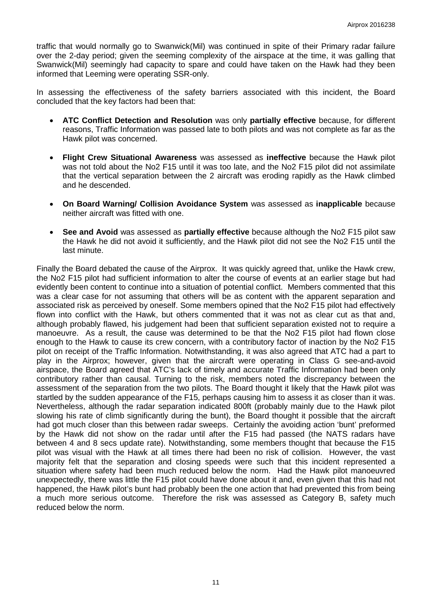traffic that would normally go to Swanwick(Mil) was continued in spite of their Primary radar failure over the 2-day period; given the seeming complexity of the airspace at the time, it was galling that Swanwick(Mil) seemingly had capacity to spare and could have taken on the Hawk had they been informed that Leeming were operating SSR-only.

In assessing the effectiveness of the safety barriers associated with this incident, the Board concluded that the key factors had been that:

- **ATC Conflict Detection and Resolution** was only **partially effective** because, for different reasons, Traffic Information was passed late to both pilots and was not complete as far as the Hawk pilot was concerned.
- **Flight Crew Situational Awareness** was assessed as **ineffective** because the Hawk pilot was not told about the No2 F15 until it was too late, and the No2 F15 pilot did not assimilate that the vertical separation between the 2 aircraft was eroding rapidly as the Hawk climbed and he descended.
- **On Board Warning/ Collision Avoidance System** was assessed as **inapplicable** because neither aircraft was fitted with one.
- **See and Avoid** was assessed as **partially effective** because although the No2 F15 pilot saw the Hawk he did not avoid it sufficiently, and the Hawk pilot did not see the No2 F15 until the last minute.

Finally the Board debated the cause of the Airprox. It was quickly agreed that, unlike the Hawk crew, the No2 F15 pilot had sufficient information to alter the course of events at an earlier stage but had evidently been content to continue into a situation of potential conflict. Members commented that this was a clear case for not assuming that others will be as content with the apparent separation and associated risk as perceived by oneself. Some members opined that the No2 F15 pilot had effectively flown into conflict with the Hawk, but others commented that it was not as clear cut as that and, although probably flawed, his judgement had been that sufficient separation existed not to require a manoeuvre. As a result, the cause was determined to be that the No2 F15 pilot had flown close enough to the Hawk to cause its crew concern, with a contributory factor of inaction by the No2 F15 pilot on receipt of the Traffic Information. Notwithstanding, it was also agreed that ATC had a part to play in the Airprox; however, given that the aircraft were operating in Class G see-and-avoid airspace, the Board agreed that ATC's lack of timely and accurate Traffic Information had been only contributory rather than causal. Turning to the risk, members noted the discrepancy between the assessment of the separation from the two pilots. The Board thought it likely that the Hawk pilot was startled by the sudden appearance of the F15, perhaps causing him to assess it as closer than it was. Nevertheless, although the radar separation indicated 800ft (probably mainly due to the Hawk pilot slowing his rate of climb significantly during the bunt), the Board thought it possible that the aircraft had got much closer than this between radar sweeps. Certainly the avoiding action 'bunt' preformed by the Hawk did not show on the radar until after the F15 had passed (the NATS radars have between 4 and 8 secs update rate). Notwithstanding, some members thought that because the F15 pilot was visual with the Hawk at all times there had been no risk of collision. However, the vast majority felt that the separation and closing speeds were such that this incident represented a situation where safety had been much reduced below the norm. Had the Hawk pilot manoeuvred unexpectedly, there was little the F15 pilot could have done about it and, even given that this had not happened, the Hawk pilot's bunt had probably been the one action that had prevented this from being a much more serious outcome. Therefore the risk was assessed as Category B, safety much reduced below the norm.